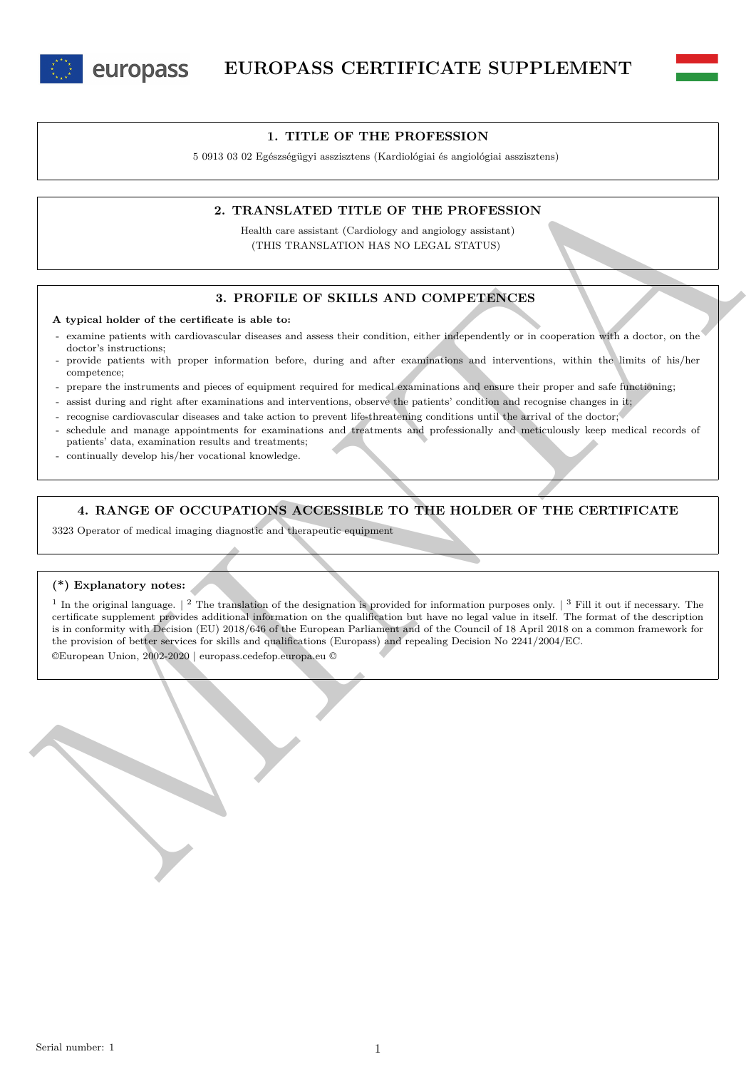



### **1. TITLE OF THE PROFESSION**

5 0913 03 02 Egészségügyi asszisztens (Kardiológiai és angiológiai asszisztens)

### **2. TRANSLATED TITLE OF THE PROFESSION**

Health care assistant (Cardiology and angiology assistant) (THIS TRANSLATION HAS NO LEGAL STATUS)

## **3. PROFILE OF SKILLS AND COMPETENCES**

**A typical holder of the certificate is able to:**

- examine patients with cardiovascular diseases and assess their condition, either independently or in cooperation with a doctor, on the doctor's instructions;
- provide patients with proper information before, during and after examinations and interventions, within the limits of his/her competence;
- prepare the instruments and pieces of equipment required for medical examinations and ensure their proper and safe functioning;
- assist during and right after examinations and interventions, observe the patients' condition and recognise changes in it;
- recognise cardiovascular diseases and take action to prevent life-threatening conditions until the arrival of the doctor;
- schedule and manage appointments for examinations and treatments and professionally and meticulously keep medical records of patients' data, examination results and treatments;
- continually develop his/her vocational knowledge.

# **4. RANGE OF OCCUPATIONS ACCESSIBLE TO THE HOLDER OF THE CERTIFICATE**

3323 Operator of medical imaging diagnostic and therapeutic equipment

#### **(\*) Explanatory notes:**

2. **PRAINSLATED TITLE OF THE PROFESSION**<br>  $^{16}$  Health can assiste of Corvidag and registive values of  $^{16}$  CMB (Northern Corvidag and registive values)<br>
(THIS TRANSLATED TITLE OF THE PROFESSION<br>
2. **PROFILE OF SKILLS** <sup>1</sup> In the original language.  $\vert$  <sup>2</sup> The translation of the designation is provided for information purposes only.  $\vert$  <sup>3</sup> Fill it out if necessary. The certificate supplement provides additional information on the qualification but have no legal value in itself. The format of the description is in conformity with Decision (EU) 2018/646 of the European Parliament and of the Council of 18 April 2018 on a common framework for the provision of better services for skills and qualifications (Europass) and repealing Decision No 2241/2004/EC.

©European Union, 2002-2020 | europass.cedefop.europa.eu ©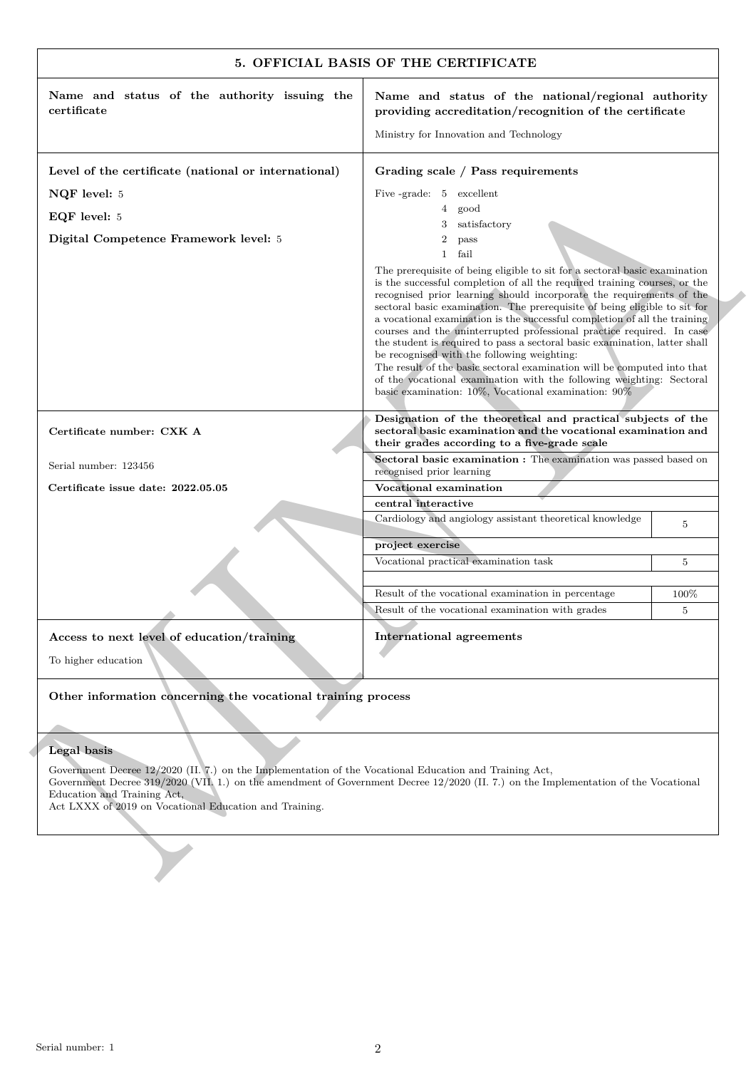| certificate                                                                                                                                                                                                                                                                                                                            |                                                                                                                                                                                                                                                                                                                                                                                                                                                                                                                                                                                                                                                                                                                                                                                                                  | Name and status of the national/regional authority<br>providing accreditation/recognition of the certificate |  |
|----------------------------------------------------------------------------------------------------------------------------------------------------------------------------------------------------------------------------------------------------------------------------------------------------------------------------------------|------------------------------------------------------------------------------------------------------------------------------------------------------------------------------------------------------------------------------------------------------------------------------------------------------------------------------------------------------------------------------------------------------------------------------------------------------------------------------------------------------------------------------------------------------------------------------------------------------------------------------------------------------------------------------------------------------------------------------------------------------------------------------------------------------------------|--------------------------------------------------------------------------------------------------------------|--|
|                                                                                                                                                                                                                                                                                                                                        |                                                                                                                                                                                                                                                                                                                                                                                                                                                                                                                                                                                                                                                                                                                                                                                                                  |                                                                                                              |  |
|                                                                                                                                                                                                                                                                                                                                        | Ministry for Innovation and Technology                                                                                                                                                                                                                                                                                                                                                                                                                                                                                                                                                                                                                                                                                                                                                                           |                                                                                                              |  |
| Level of the certificate (national or international)                                                                                                                                                                                                                                                                                   | Grading scale / Pass requirements                                                                                                                                                                                                                                                                                                                                                                                                                                                                                                                                                                                                                                                                                                                                                                                |                                                                                                              |  |
| NQF level: 5                                                                                                                                                                                                                                                                                                                           | Five -grade: 5 excellent                                                                                                                                                                                                                                                                                                                                                                                                                                                                                                                                                                                                                                                                                                                                                                                         |                                                                                                              |  |
| EQF level: 5                                                                                                                                                                                                                                                                                                                           | 4<br>good                                                                                                                                                                                                                                                                                                                                                                                                                                                                                                                                                                                                                                                                                                                                                                                                        |                                                                                                              |  |
| Digital Competence Framework level: 5                                                                                                                                                                                                                                                                                                  | satisfactory<br>3<br>$\boldsymbol{2}$<br>pass                                                                                                                                                                                                                                                                                                                                                                                                                                                                                                                                                                                                                                                                                                                                                                    |                                                                                                              |  |
|                                                                                                                                                                                                                                                                                                                                        | $\mathbf{1}$<br>fail                                                                                                                                                                                                                                                                                                                                                                                                                                                                                                                                                                                                                                                                                                                                                                                             |                                                                                                              |  |
|                                                                                                                                                                                                                                                                                                                                        | The prerequisite of being eligible to sit for a sectoral basic examination<br>is the successful completion of all the required training courses, or the<br>recognised prior learning should incorporate the requirements of the<br>sectoral basic examination. The prerequisite of being eligible to sit for<br>a vocational examination is the successful completion of all the training<br>courses and the uninterrupted professional practice required. In case<br>the student is required to pass a sectoral basic examination, latter shall<br>be recognised with the following weighting:<br>The result of the basic sectoral examination will be computed into that<br>of the vocational examination with the following weighting: Sectoral<br>basic examination: $10\%$ , Vocational examination: $90\%$ |                                                                                                              |  |
| Certificate number: CXK A                                                                                                                                                                                                                                                                                                              | Designation of the theoretical and practical subjects of the<br>sectoral basic examination and the vocational examination and<br>their grades according to a five-grade scale                                                                                                                                                                                                                                                                                                                                                                                                                                                                                                                                                                                                                                    |                                                                                                              |  |
| Serial number: 123456                                                                                                                                                                                                                                                                                                                  | Sectoral basic examination : The examination was passed based on<br>recognised prior learning                                                                                                                                                                                                                                                                                                                                                                                                                                                                                                                                                                                                                                                                                                                    |                                                                                                              |  |
| Certificate issue date: 2022.05.05                                                                                                                                                                                                                                                                                                     | Vocational examination                                                                                                                                                                                                                                                                                                                                                                                                                                                                                                                                                                                                                                                                                                                                                                                           |                                                                                                              |  |
|                                                                                                                                                                                                                                                                                                                                        | central interactive                                                                                                                                                                                                                                                                                                                                                                                                                                                                                                                                                                                                                                                                                                                                                                                              |                                                                                                              |  |
|                                                                                                                                                                                                                                                                                                                                        | Cardiology and angiology assistant theoretical knowledge                                                                                                                                                                                                                                                                                                                                                                                                                                                                                                                                                                                                                                                                                                                                                         | 5                                                                                                            |  |
|                                                                                                                                                                                                                                                                                                                                        | project exercise                                                                                                                                                                                                                                                                                                                                                                                                                                                                                                                                                                                                                                                                                                                                                                                                 |                                                                                                              |  |
|                                                                                                                                                                                                                                                                                                                                        | Vocational practical examination task                                                                                                                                                                                                                                                                                                                                                                                                                                                                                                                                                                                                                                                                                                                                                                            | 5                                                                                                            |  |
|                                                                                                                                                                                                                                                                                                                                        | Result of the vocational examination in percentage                                                                                                                                                                                                                                                                                                                                                                                                                                                                                                                                                                                                                                                                                                                                                               | 100%                                                                                                         |  |
|                                                                                                                                                                                                                                                                                                                                        | Result of the vocational examination with grades                                                                                                                                                                                                                                                                                                                                                                                                                                                                                                                                                                                                                                                                                                                                                                 | $\overline{5}$                                                                                               |  |
| Access to next level of education/training<br>To higher education                                                                                                                                                                                                                                                                      | <b>International agreements</b>                                                                                                                                                                                                                                                                                                                                                                                                                                                                                                                                                                                                                                                                                                                                                                                  |                                                                                                              |  |
| Other information concerning the vocational training process                                                                                                                                                                                                                                                                           |                                                                                                                                                                                                                                                                                                                                                                                                                                                                                                                                                                                                                                                                                                                                                                                                                  |                                                                                                              |  |
| Legal basis                                                                                                                                                                                                                                                                                                                            |                                                                                                                                                                                                                                                                                                                                                                                                                                                                                                                                                                                                                                                                                                                                                                                                                  |                                                                                                              |  |
| Government Decree 12/2020 (II. 7.) on the Implementation of the Vocational Education and Training Act,<br>Government Decree 319/2020 (VII, 1.) on the amendment of Government Decree 12/2020 (II, 7.) on the Implementation of the Vocational<br>Education and Training Act,<br>Act LXXX of 2019 on Vocational Education and Training. |                                                                                                                                                                                                                                                                                                                                                                                                                                                                                                                                                                                                                                                                                                                                                                                                                  |                                                                                                              |  |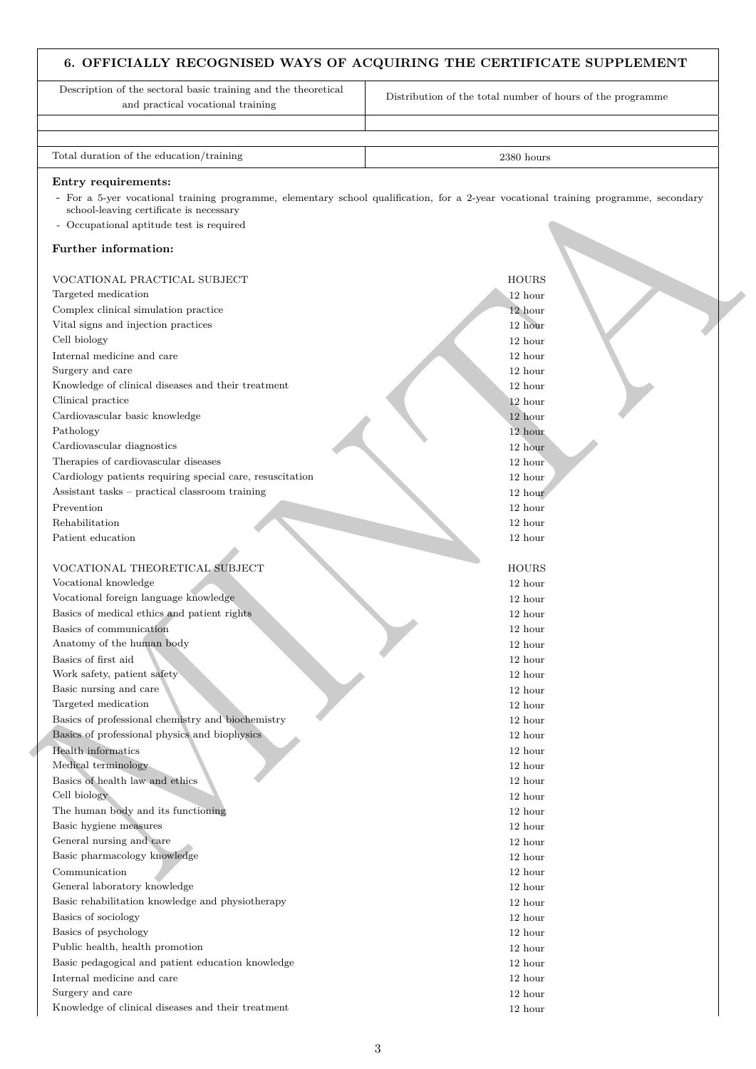# **6. OFFICIALLY RECOGNISED WAYS OF ACQUIRING THE CERTIFICATE SUPPLEMENT**

| Description of the sectoral basic training and the theoretical<br>and practical vocational training        | Distribution of the total number of hours of the programme                                                                          |
|------------------------------------------------------------------------------------------------------------|-------------------------------------------------------------------------------------------------------------------------------------|
|                                                                                                            |                                                                                                                                     |
| Total duration of the education/training                                                                   | 2380 hours                                                                                                                          |
| Entry requirements:<br>school-leaving certificate is necessary<br>- Occupational aptitude test is required | - For a 5-yer vocational training programme, elementary school qualification, for a 2-year vocational training programme, secondary |
| Further information:                                                                                       |                                                                                                                                     |
| VOCATIONAL PRACTICAL SUBJECT                                                                               | <b>HOURS</b>                                                                                                                        |
| Targeted medication                                                                                        | 12 hour                                                                                                                             |
| Complex clinical simulation practice                                                                       | 12 hour                                                                                                                             |
| Vital signs and injection practices                                                                        | 12 hour                                                                                                                             |
| Cell biology                                                                                               | 12 hour                                                                                                                             |
| Internal medicine and care                                                                                 | 12 hour                                                                                                                             |
| Surgery and care                                                                                           | 12 hour                                                                                                                             |
| Knowledge of clinical diseases and their treatment                                                         | 12 hour                                                                                                                             |
| Clinical practice                                                                                          | 12 hour                                                                                                                             |
| Cardiovascular basic knowledge                                                                             | 12 hour                                                                                                                             |
| Pathology                                                                                                  | 12 hour                                                                                                                             |
| Cardiovascular diagnostics                                                                                 | 12 hour                                                                                                                             |
| Therapies of cardiovascular diseases                                                                       | 12 hour                                                                                                                             |
| Cardiology patients requiring special care, resuscitation                                                  | 12 hour                                                                                                                             |
| Assistant tasks - practical classroom training                                                             | 12 hour                                                                                                                             |
| Prevention                                                                                                 | 12 hour                                                                                                                             |
|                                                                                                            |                                                                                                                                     |
| Rehabilitation<br>Patient education                                                                        | 12 hour<br>12 hour                                                                                                                  |
|                                                                                                            |                                                                                                                                     |
|                                                                                                            |                                                                                                                                     |
| VOCATIONAL THEORETICAL SUBJECT                                                                             | <b>HOURS</b>                                                                                                                        |
| Vocational knowledge                                                                                       | 12 hour                                                                                                                             |
| Vocational foreign language knowledge                                                                      | 12 hour                                                                                                                             |
| Basics of medical ethics and patient rights                                                                | 12 hour                                                                                                                             |
| Basics of communication                                                                                    | 12 hour                                                                                                                             |
| Anatomy of the human body                                                                                  | $12\ \mathrm{hour}$                                                                                                                 |
| Basics of first aid                                                                                        | 12 hour                                                                                                                             |
| Work safety, patient safety                                                                                | 12 hour                                                                                                                             |
| Basic nursing and care                                                                                     | 12 hour                                                                                                                             |
| Targeted medication                                                                                        | 12 hour                                                                                                                             |
| Basics of professional chemistry and biochemistry                                                          | 12 hour                                                                                                                             |
| Basics of professional physics and biophysics                                                              | 12 hour                                                                                                                             |
| Health informatics                                                                                         | 12 hour                                                                                                                             |
| Medical terminology                                                                                        | 12 hour                                                                                                                             |
| Basics of health law and ethics                                                                            | 12 hour                                                                                                                             |
| Cell biology                                                                                               | 12 hour                                                                                                                             |
| The human body and its functioning                                                                         | 12 hour                                                                                                                             |
| Basic hygiene measures                                                                                     | 12 hour                                                                                                                             |
| General nursing and care                                                                                   | 12 hour                                                                                                                             |
| Basic pharmacology knowledge                                                                               | 12 hour                                                                                                                             |
| Communication                                                                                              | 12 hour                                                                                                                             |
| General laboratory knowledge                                                                               | 12 hour                                                                                                                             |
| Basic rehabilitation knowledge and physiotherapy                                                           | 12 hour                                                                                                                             |
| Basics of sociology                                                                                        | 12 hour                                                                                                                             |
| Basics of psychology                                                                                       | 12 hour                                                                                                                             |
| Public health, health promotion                                                                            | 12 hour                                                                                                                             |
| Basic pedagogical and patient education knowledge                                                          | 12 hour                                                                                                                             |
| Internal medicine and care                                                                                 | 12 hour                                                                                                                             |
| Surgery and care                                                                                           | 12 hour                                                                                                                             |
| Knowledge of clinical diseases and their treatment                                                         | 12 hour                                                                                                                             |
|                                                                                                            |                                                                                                                                     |